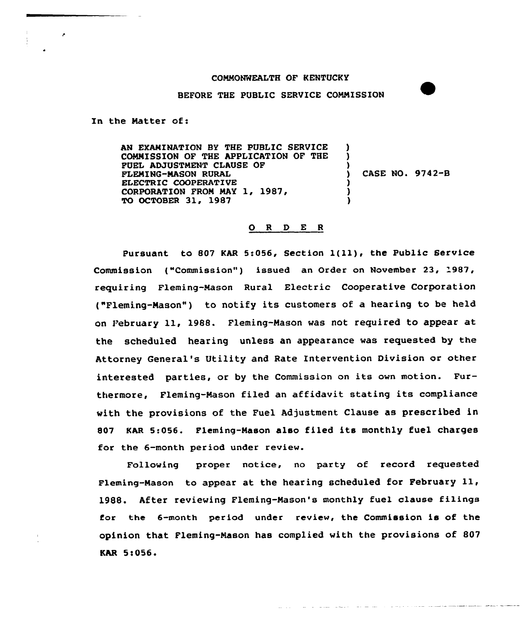## COMMONWEALTH OF KENTUCKY

BEFORE THE PUBLIC SERVICE COMNISSION

In the Natter of:

AN EXAMINATION BY THE PUBLIC SERVICE COMMISSION OF THE APPLICATION OF THE FUEL ADJUSTMENT CLAUSE OF FLEMING-MASON RURAL ELECTRIC COOPERATIVE CORPORATION PRON NAY 1, 1987/ TO OCTOBER 31, 1987 ) ) ) ) CASE NO. 9742-B ) ) )

## 0 <sup>R</sup> <sup>D</sup> E <sup>R</sup>

Pursuant to 807 KAR 5:056, Section  $1(11)$ , the Public Service Commission ("Commission") issued an Order on November 23, 1987, requiring Fleming-Mason Rural Electric Cooperative Corporation ("Fleming-Mason") to notify its customers of a hearing to be held on February ll, 1988. Fleming-Mason was not required to appear at the scheduled hearing unless an appearance was requested by the Attorney General's Utility and Rate Intervention Division or other interested parties, or by the Commission on its own motion. Furthermore, Fleming-Nason filed an affidavit stating its compliance with the provisions of the Fuel Adjustment Clause as prescribed in 807 KAR 5:056. Fleming-Mason also filed its monthly fuel charges for the 6-month period under review.

Following proper notice, no party of record requested Fleming-Mason to appear at the hearing scheduled for February ll, 1988. After reviewing Fleming-Nason's monthly fuel clause filings for the 6-month period under review, the Commission is of the opinion that Fleming-Mason has complied with the provisions of 807 KAR 5!056.